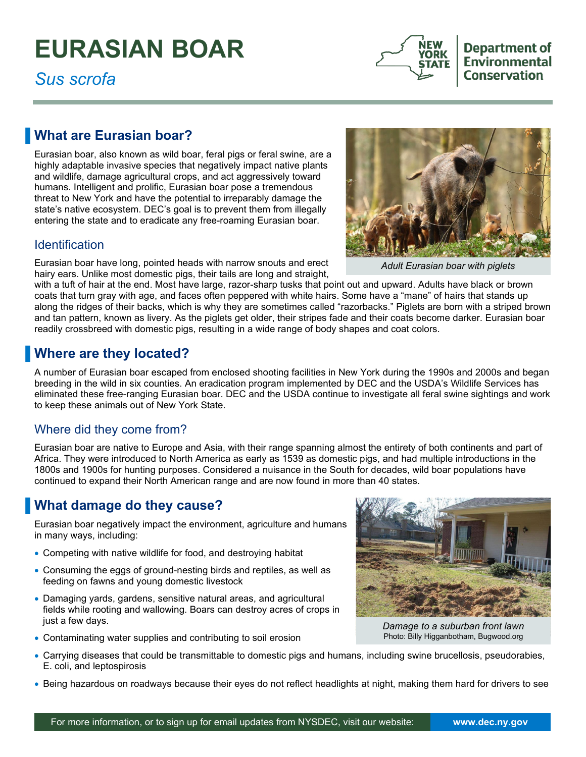# **EURASIAN BOAR**

*Sus scrofa* 



Department of **Environmental Conservation** 

## **What are Eurasian boar?**

 Eurasian boar, also known as wild boar, feral pigs or feral swine, are a highly adaptable invasive species that negatively impact native plants and wildlife, damage agricultural crops, and act aggressively toward humans. Intelligent and prolific, Eurasian boar pose a tremendous threat to New York and have the potential to irreparably damage the state's native ecosystem. DEC's goal is to prevent them from illegally entering the state and to eradicate any free-roaming Eurasian boar.

#### **Identification**

Eurasian boar have long, pointed heads with narrow snouts and erect hairy ears. Unlike most domestic pigs, their tails are long and straight,



*Adult Eurasian boar with piglets* 

with a tuft of hair at the end. Most have large, razor-sharp tusks that point out and upward. Adults have black or brown coats that turn gray with age, and faces often peppered with white hairs. Some have a "mane" of hairs that stands up along the ridges of their backs, which is why they are sometimes called "razorbacks." Piglets are born with a striped brown and tan pattern, known as livery. As the piglets get older, their stripes fade and their coats become darker. Eurasian boar readily crossbreed with domestic pigs, resulting in a wide range of body shapes and coat colors.

## **Where are they located?**

 A number of Eurasian boar escaped from enclosed shooting facilities in New York during the 1990s and 2000s and began eliminated these free-ranging Eurasian boar. DEC and the USDA continue to investigate all feral swine sightings and work to keep these animals out of New York State. breeding in the wild in six counties. An eradication program implemented by DEC and the USDA's Wildlife Services has

#### Where did they come from?

 Eurasian boar are native to Europe and Asia, with their range spanning almost the entirety of both continents and part of continued to expand their North American range and are now found in more than 40 states. Africa. They were introduced to North America as early as 1539 as domestic pigs, and had multiple introductions in the 1800s and 1900s for hunting purposes. Considered a nuisance in the South for decades, wild boar populations have

## **Nhat damage do they cause?**

Eurasian boar negatively impact the environment, agriculture and humans in many ways, including:

- Competing with native wildlife for food, and destroying habitat
- Consuming the eggs of ground-nesting birds and reptiles, as well as feeding on fawns and young domestic livestock
- • Damaging yards, gardens, sensitive natural areas, and agricultural fields while rooting and wallowing. Boars can destroy acres of crops in just a few days.
- Contaminating water supplies and contributing to soil erosion



*Damage to a suburban front lawn*  Photo: Billy Higganbotham, Bugwood.org

- Carrying diseases that could be transmittable to domestic pigs and humans, including swine brucellosis, pseudorabies, E. coli, and leptospirosis
- Being hazardous on roadways because their eyes do not reflect headlights at night, making them hard for drivers to see